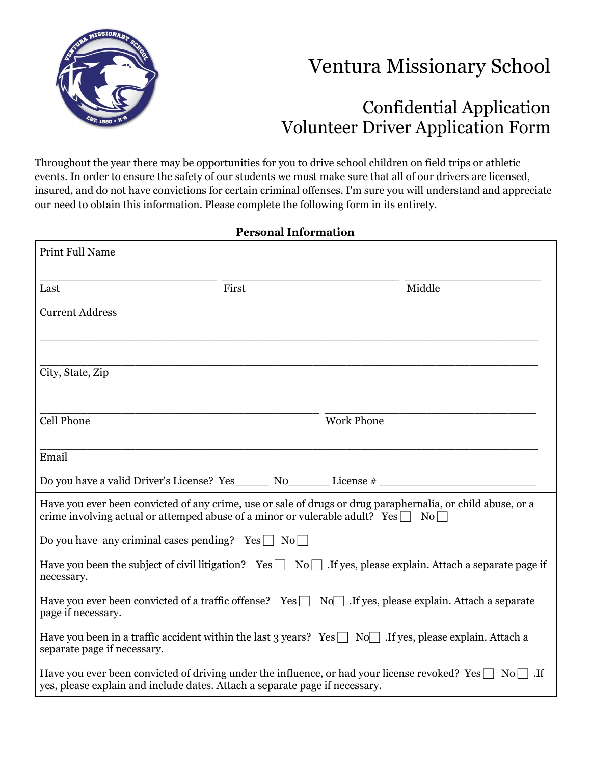

## Ventura Missionary School

## Confidential Application Volunteer Driver Application Form

Throughout the year there may be opportunities for you to drive school children on field trips or athletic events. In order to ensure the safety of our students we must make sure that all of our drivers are licensed, insured, and do not have convictions for certain criminal offenses. I'm sure you will understand and appreciate our need to obtain this information. Please complete the following form in its entirety.

| <b>Personal Information</b>                                                 |       |                                                                                                                                                                                                      |
|-----------------------------------------------------------------------------|-------|------------------------------------------------------------------------------------------------------------------------------------------------------------------------------------------------------|
| <b>Print Full Name</b>                                                      |       |                                                                                                                                                                                                      |
| Last                                                                        | First | Middle                                                                                                                                                                                               |
| <b>Current Address</b>                                                      |       |                                                                                                                                                                                                      |
| City, State, Zip                                                            |       |                                                                                                                                                                                                      |
| <b>Cell Phone</b>                                                           |       | <b>Work Phone</b>                                                                                                                                                                                    |
| Email                                                                       |       |                                                                                                                                                                                                      |
|                                                                             |       |                                                                                                                                                                                                      |
|                                                                             |       | Have you ever been convicted of any crime, use or sale of drugs or drug paraphernalia, or child abuse, or a<br>crime involving actual or attemped abuse of a minor or vulerable adult? Yes $\Box$ No |
| Do you have any criminal cases pending? $Yes \Box No \Box$                  |       |                                                                                                                                                                                                      |
| necessary.                                                                  |       | Have you been the subject of civil litigation? Yes $\Box$ No $\Box$ . If yes, please explain. Attach a separate page if                                                                              |
| page if necessary.                                                          |       | Have you ever been convicted of a traffic offense? Yes $\Box$ No $\Box$ . If yes, please explain. Attach a separate                                                                                  |
| separate page if necessary.                                                 |       | Have you been in a traffic accident within the last 3 years? Yes $\Box$ No If yes, please explain. Attach a                                                                                          |
| yes, please explain and include dates. Attach a separate page if necessary. |       | Have you ever been convicted of driving under the influence, or had your license revoked? Yes $\Box$ No $\Box$ . If                                                                                  |

## **Personal Information**